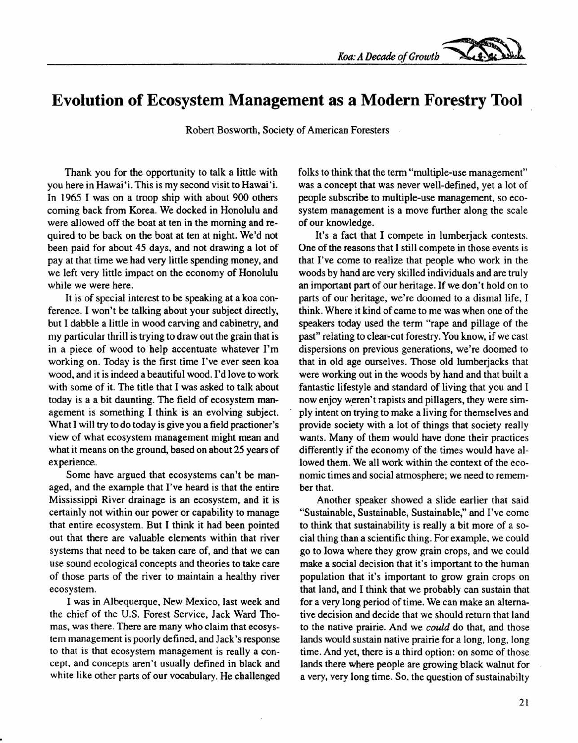*Koa:ADecadeofGrowth ~*

## **Evolution of Ecosystem Management as a Modern Forestry Tool**

Robert Bosworth, Society of American Foresters

Thank you for the opportunity to talk a little with you here in Hawai 'i. This is my second visit to Hawai'i. In 1965 I was on a troop ship with about 900 others coming back from Korea. We docked in Honolulu and were allowed off the boat at ten in the morning and required to be back on the boat at ten at night. We'd not been paid for about 45 days, and not drawing a lot of pay at that time we had very little spending money, and we left very little impact on the economy of Honolulu while we were here.

It is of special interest to be speaking at a koa conference. I won't be talking about your subject directly, but I dabble a little in wood carving and cabinetry, and my particular thrill is trying to draw out the grain that is in a piece of wood to help accentuate whatever I'm working on. Today is the first time I've ever seen koa wood, and it is indeed a beautiful wood. I'd love to work with some of it. The title that I was asked to talk about today is a a bit daunting. The field of ecosystem management is something I think is an evolving subject. What I will try to do today is give you a field practioner's view of what ecosystem management might mean and what it means on the ground, based on about 25 years of experience.

Some have argued that ecosystems can't be managed, and the example that I've heard is that the entire Mississippi River drainage is an ecosystem, and it is certainly not within our power or capability to manage that entire ecosystem. But I think it had been pointed out that there are valuable elements within that river systems that need to be taken care of, and that we can use sound ecological concepts and theories to take care of those parts of the river to maintain a healthy river ecosystem.

I was in Albequerque, New Mexico, last week and the chief of the U.S. Forest Service, Jack Ward Thomas, was there. There are many who claim that ecosystem management is poorly defined, and Jack's response to that is that ecosystem management is really a concept, and concepts aren't usually defined in black and white like other parts of our vocabulary. He challenged folks to think that the term "multiple-use management" was a concept that was never well-defined, yet a lot of people subscribe to multiple-use management, so ecosystem management is a move further along the scale of our knowledge.

It's a fact that I compete in lumberjack contests. One of the reasons that I still compete in those events is that I've come to realize that people who work in the woods by hand are very skilled individuals and are truly an important part of our heritage. If we don't hold on to parts of our heritage, we're doomed to a dismal life, I think. Where it kind of came to me was when one of the speakers today used the term "rape and pillage of the past" relating to clear-cut forestry. You know, if we cast dispersions on previous generations, we're doomed to that in old age ourselves. Those old lumberjacks that were working out in the woods by hand and that built a fantastic lifestyle and standard of living that you and I now enjoy weren't rapists and pillagers, they were simply intent on trying to make a living for themselves and provide society with a lot of things that society really wants. Many of them would have done their practices differently if the economy of the times would have allowed them. We all work within the context of the economic times and social atmosphere; we need to rernernber that.

Another speaker showed a slide earlier that said "Sustainable, Sustainable, Sustainable," and I've come to think that sustainability is really a bit more of a social thing than a scientific thing. For example, we could go to Iowa where they grow grain crops, and we could make a social decision that it's important to the human population that it's important to grow grain crops on that land, and I think that we probably can sustain that for a very long period of time. We can make an alternative decision and decide that we should return that land to the native prairie. And we *could* do that, and those lands would sustain native prairie for a long, long, long time. And yet, there is a third option: on some of those lands there where people are growing black walnut for a very, very long time. So, the question of sustainabilty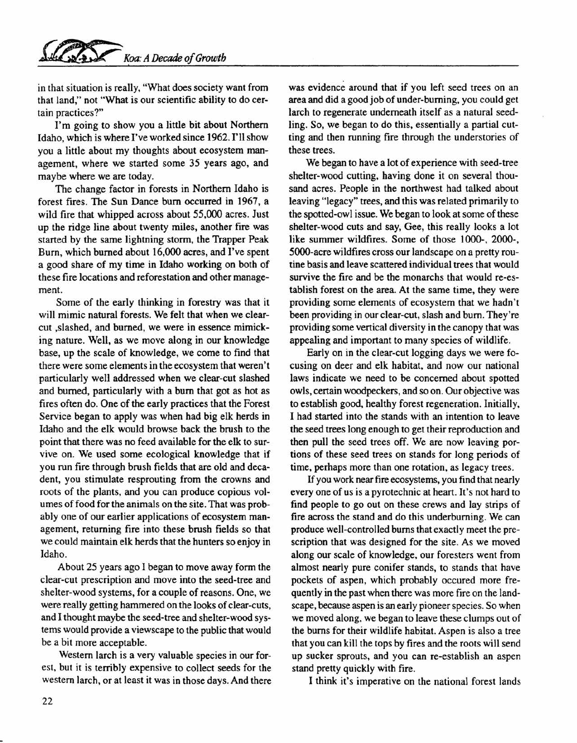in that situation is really, "What does society want from that land," not "What is our scientific ability to do certain practices?"

I'm going to show you a little bit about Northern Idaho, which is where I've worked since 1962. I'll show you a little about my thoughts about ecosystem management, where we started some 35 years ago, and maybe where we are today.

The change factor in forests in Northern Idaho is forest fires. The Sun Dance bum occurred in 1967, a wild fire that whipped across about 55,000 acres. Just up the ridge line about twenty miles, another fire was started by the same lightning storm, the Trapper Peak Burn, which burned about 16,000 acres, and I've spent a good share of my time in Idaho working on both of these fire locations and reforestation and other management.

Some of the early thinking in forestry was that it will mimic natural forests. We felt that when we clearcut ,slashed, and burned, we were in essence mimicking nature. Well, as we move along in our knowledge base, up the scale of knowledge, we come to find that there were some elements in the ecosystem that weren't particularly well addressed when we clear-cut slashed and burned, particularly with a burn that got as hot as fires often do. One of the early practices that the Forest Service began to apply was when had big elk herds in Idaho and the elk would browse back the brush to the point that there was no feed available for the elk to survive on. We used some ecological knowledge that if you run fire through brush fields that are old and decadent, you stimulate resprouting from the crowns and roots of the plants, and you can produce copious volumes of food for the animals on the site. That was probably one of our earlier applications of ecosystem management, returning fire into these brush fields so that we could maintain elk herds that the hunters so enjoy in Idaho.

About 25 years ago I began to move away form the clear-cut prescription and move into the seed-tree and shelter-wood systems, for a couple of reasons. One, we were really getting hammered on the looks of clear-cuts, and I thought maybe the seed-tree and shelter-wood systems would provide a viewscape to the public that would be a bit more acceptable.

Western larch is a very valuable species in our forest, but it is terribly expensive to collect seeds for the western larch, or at least it was in those days. And there was evidence around that if you left seed trees on an area and did a good job of under-burning, you could get larch to regenerate underneath itself as a natural seedling. So, we began to do this, essentially a partial cutting and then running fire through the understories of these trees.

We began to have a lot of experience with seed-tree shelter-wood cutting, having done it on several thousand acres. People in the northwest had talked about leaving "legacy" trees, and this was related primarily to the spotted-owl issue. We began to look at some of these shelter-wood cuts and say, Gee, this really looks a lot like summer wildfires. Some of those 1000-, 2000-, 5OOO-acrewildfires cross our landscape on a pretty routine basis and leave scattered individual trees that would survive the fire and be the monarchs that would re-establish forest on the area. At the same time, they were providing some elements of ecosystem that we hadn't been providing in our clear-cut, slash and burn. They're providing some vertical diversity in the canopy that was appealing and important to many species of wildlife.

Early on in the clear-cut logging days we were focusing on deer and elk habitat, and now our national laws indicate we need to be concerned about spotted owls, certain woodpeckers, and so on. Our objective was to establish good, healthy forest regeneration. Initially, I had started into the stands with an intention to leave the seed trees long enough to get their reproduction and then pull the seed trees off. We are now leaving portions of these seed trees on stands for long periods of time, perhaps more than one rotation, as legacy trees.

If you work near fire ecosystems, you find that nearly every one of us is a pyrotechnic at heart. It's not hard to find people to go out on these crews and lay strips of fire across the stand and do this underburning. We can produce well-controlled burns that exactly meet the prescription that was designed for the site. As we moved along our scale of knowledge, our foresters went from almost nearly pure conifer stands, to stands that have pockets of aspen, which probably occured more frequently in the past when there was more fire on the landscape, because aspen is an early pioneer species. So when we moved along, we began to leave these clumps out of the burns for their wildlife habitat. Aspen is also a tree that you can kill the tops by fires and the roots will send up sucker sprouts, and you can re-establish an aspen stand pretty quickly with fire.

I think it's imperative on the national forest lands